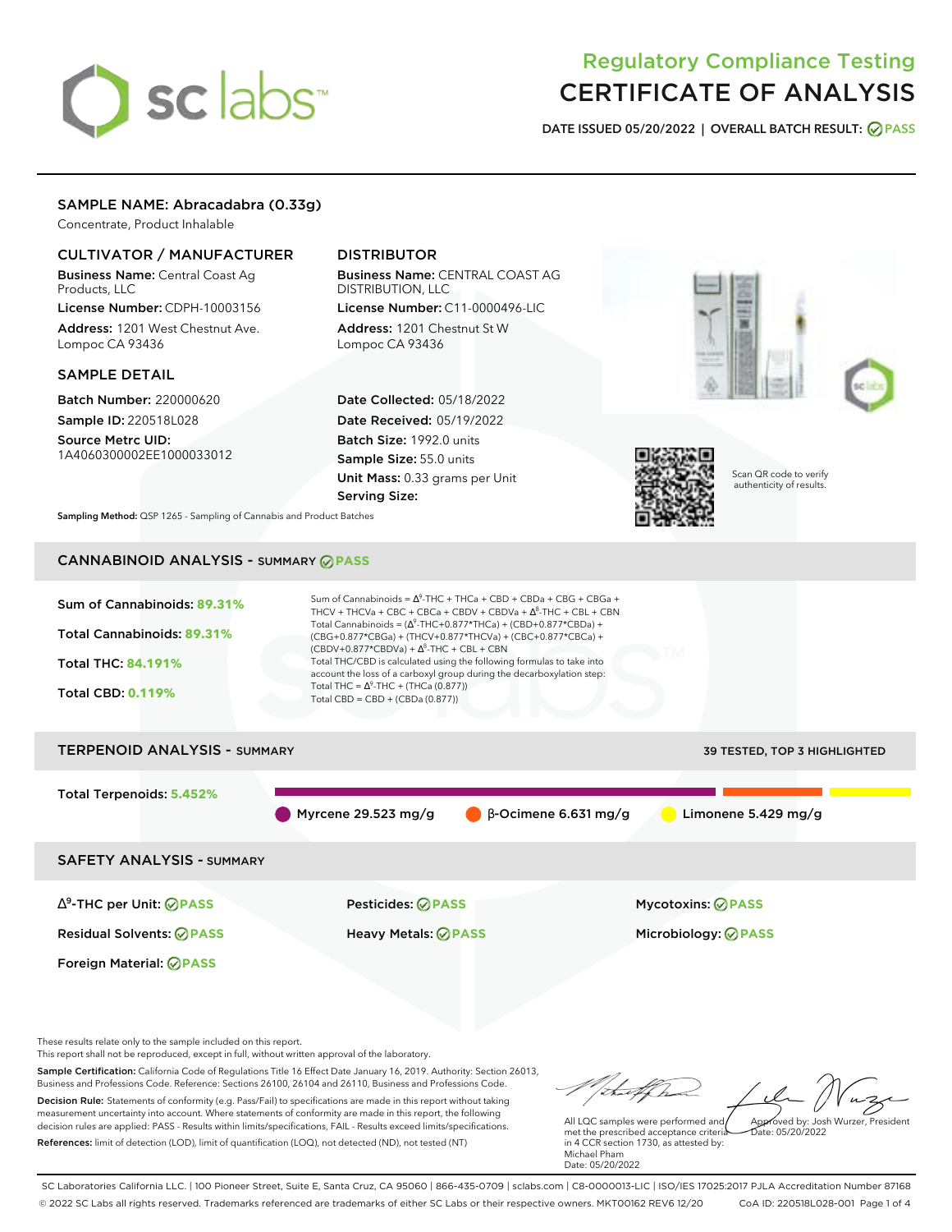# sclabs<sup>\*</sup>

# Regulatory Compliance Testing CERTIFICATE OF ANALYSIS

**DATE ISSUED 05/20/2022 | OVERALL BATCH RESULT: PASS**

# SAMPLE NAME: Abracadabra (0.33g)

Concentrate, Product Inhalable

# CULTIVATOR / MANUFACTURER

Business Name: Central Coast Ag Products, LLC

License Number: CDPH-10003156 Address: 1201 West Chestnut Ave. Lompoc CA 93436

## SAMPLE DETAIL

Batch Number: 220000620 Sample ID: 220518L028

Source Metrc UID: 1A4060300002EE1000033012

# DISTRIBUTOR

Business Name: CENTRAL COAST AG DISTRIBUTION, LLC License Number: C11-0000496-LIC

Address: 1201 Chestnut St W Lompoc CA 93436

Date Collected: 05/18/2022 Date Received: 05/19/2022 Batch Size: 1992.0 units Sample Size: 55.0 units Unit Mass: 0.33 grams per Unit Serving Size:







Scan QR code to verify authenticity of results.

**Sampling Method:** QSP 1265 - Sampling of Cannabis and Product Batches

# CANNABINOID ANALYSIS - SUMMARY **PASS**



# TERPENOID ANALYSIS - SUMMARY 39 TESTED, TOP 3 HIGHLIGHTED Total Terpenoids: **5.452%** Myrcene 29.523 mg/g β-Ocimene 6.631 mg/g Limonene 5.429 mg/g SAFETY ANALYSIS - SUMMARY

∆ 9 -THC per Unit: **PASS** Pesticides: **PASS** Mycotoxins: **PASS**

Foreign Material: **PASS**

Residual Solvents: **PASS** Heavy Metals: **PASS** Microbiology: **PASS**

These results relate only to the sample included on this report.

This report shall not be reproduced, except in full, without written approval of the laboratory.

Sample Certification: California Code of Regulations Title 16 Effect Date January 16, 2019. Authority: Section 26013, Business and Professions Code. Reference: Sections 26100, 26104 and 26110, Business and Professions Code. Decision Rule: Statements of conformity (e.g. Pass/Fail) to specifications are made in this report without taking measurement uncertainty into account. Where statements of conformity are made in this report, the following decision rules are applied: PASS - Results within limits/specifications, FAIL - Results exceed limits/specifications.

References: limit of detection (LOD), limit of quantification (LOQ), not detected (ND), not tested (NT)

tal f h Approved by: Josh Wurzer, President

 $hat: 05/20/2022$ 

All LQC samples were performed and met the prescribed acceptance criteria in 4 CCR section 1730, as attested by: Michael Pham Date: 05/20/2022

SC Laboratories California LLC. | 100 Pioneer Street, Suite E, Santa Cruz, CA 95060 | 866-435-0709 | sclabs.com | C8-0000013-LIC | ISO/IES 17025:2017 PJLA Accreditation Number 87168 © 2022 SC Labs all rights reserved. Trademarks referenced are trademarks of either SC Labs or their respective owners. MKT00162 REV6 12/20 CoA ID: 220518L028-001 Page 1 of 4